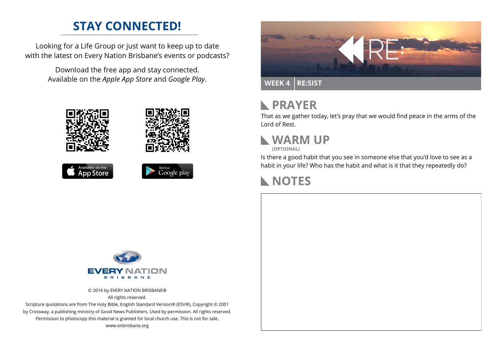## **STAY CONNECTED!**

Looking for a Life Group or just want to keep up to date with the latest on Every Nation Brisbane's events or podcasts?

> Download the free app and stay connected. Available on the *Apple App Store* and *Google Play*.





```
Available on the<br>App Store
```




### **PRAYER**  $\mathbf{L}$

That as we gather today, let's pray that we would find peace in the arms of the Lord of Rest.



**(OPTIONAL)**

Is there a good habit that you see in someone else that you'd love to see as a habit in your life? Who has the habit and what is it that they repeatedly do?

### **NOTES**



© 2016 by EVERY NATION BRISBANE® All rights reserved.

Scripture quotations are from The Holy Bible, English Standard Version® (ESV®), Copyright © 2001 by Crossway, a publishing ministry of Good News Publishers. Used by permission. All rights reserved. Permission to photocopy this material is granted for local church use. This is not for sale. www.enbrisbane.org